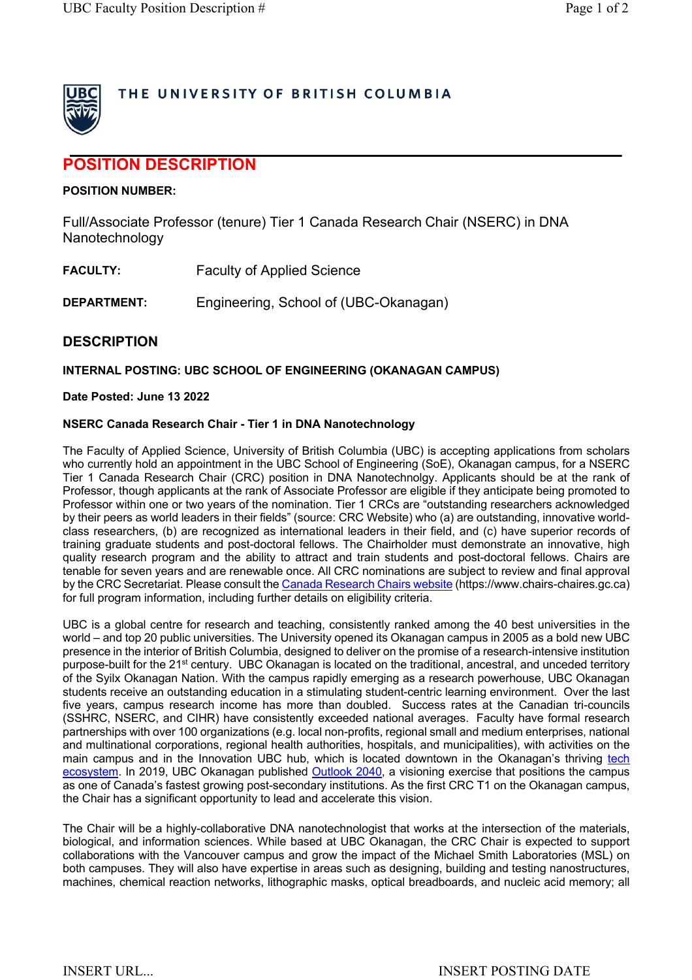

## THE UNIVERSITY OF BRITISH COLUMBIA

# **POSITION DESCRIPTION**

#### **POSITION NUMBER:**

Full/Associate Professor (tenure) Tier 1 Canada Research Chair (NSERC) in DNA Nanotechnology

| <b>FACULTY:</b> | <b>Faculty of Applied Science</b> |
|-----------------|-----------------------------------|
|-----------------|-----------------------------------|

**DEPARTMENT:** Engineering, School of (UBC-Okanagan)

### **DESCRIPTION**

#### **INTERNAL POSTING: UBC SCHOOL OF ENGINEERING (OKANAGAN CAMPUS)**

#### **Date Posted: June 13 2022**

#### **NSERC Canada Research Chair - Tier 1 in DNA Nanotechnology**

The Faculty of Applied Science, University of British Columbia (UBC) is accepting applications from scholars who currently hold an appointment in the UBC School of Engineering (SoE), Okanagan campus, for a NSERC Tier 1 Canada Research Chair (CRC) position in DNA Nanotechnolgy. Applicants should be at the rank of Professor, though applicants at the rank of Associate Professor are eligible if they anticipate being promoted to Professor within one or two years of the nomination. Tier 1 CRCs are "outstanding researchers acknowledged by their peers as world leaders in their fields" (source: CRC Website) who (a) are outstanding, innovative worldclass researchers, (b) are recognized as international leaders in their field, and (c) have superior records of training graduate students and post-doctoral fellows. The Chairholder must demonstrate an innovative, high quality research program and the ability to attract and train students and post-doctoral fellows. Chairs are tenable for seven years and are renewable once. All CRC nominations are subject to review and final approval by the CRC Secretariat. Please consult the Canada Research Chairs website (https://www.chairs-chaires.gc.ca) for full program information, including further details on eligibility criteria.

UBC is a global centre for research and teaching, consistently ranked among the 40 best universities in the world – and top 20 public universities. The University opened its Okanagan campus in 2005 as a bold new UBC presence in the interior of British Columbia, designed to deliver on the promise of a research-intensive institution purpose-built for the 21<sup>st</sup> century. UBC Okanagan is located on the traditional, ancestral, and unceded territory of the Syilx Okanagan Nation. With the campus rapidly emerging as a research powerhouse, UBC Okanagan students receive an outstanding education in a stimulating student-centric learning environment. Over the last five years, campus research income has more than doubled. Success rates at the Canadian tri-councils (SSHRC, NSERC, and CIHR) have consistently exceeded national averages. Faculty have formal research partnerships with over 100 organizations (e.g. local non-profits, regional small and medium enterprises, national and multinational corporations, regional health authorities, hospitals, and municipalities), with activities on the main campus and in the Innovation UBC hub, which is located downtown in the Okanagan's thriving tech ecosystem. In 2019, UBC Okanagan published Outlook 2040, a visioning exercise that positions the campus as one of Canada's fastest growing post-secondary institutions. As the first CRC T1 on the Okanagan campus, the Chair has a significant opportunity to lead and accelerate this vision.

The Chair will be a highly-collaborative DNA nanotechnologist that works at the intersection of the materials, biological, and information sciences. While based at UBC Okanagan, the CRC Chair is expected to support collaborations with the Vancouver campus and grow the impact of the Michael Smith Laboratories (MSL) on both campuses. They will also have expertise in areas such as designing, building and testing nanostructures, machines, chemical reaction networks, lithographic masks, optical breadboards, and nucleic acid memory; all